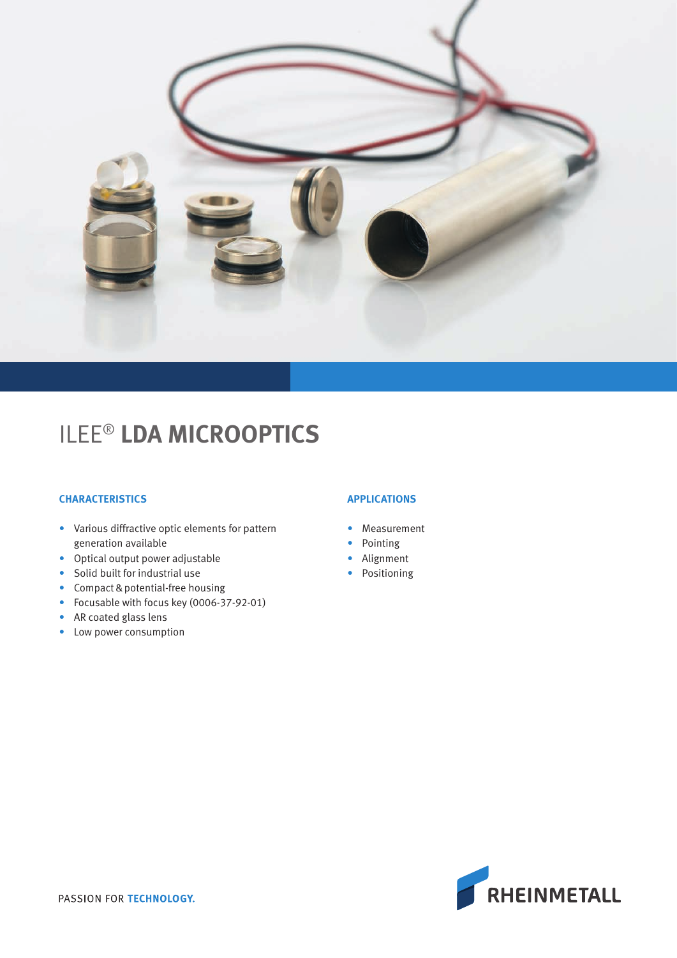

# ILEE® **LDA MICROOPTICS**

#### **CHARACTERISTICS**

- Various diffractive optic elements for pattern generation available
- Optical output power adjustable
- Solid built for industrial use
- Compact & potential-free housing
- Focusable with focus key (0006-37-92-01)
- AR coated glass lens
- Low power consumption

## **APPLICATIONS**

- Measurement
- Pointing
- Alignment
- Positioning

RHEINMETALL